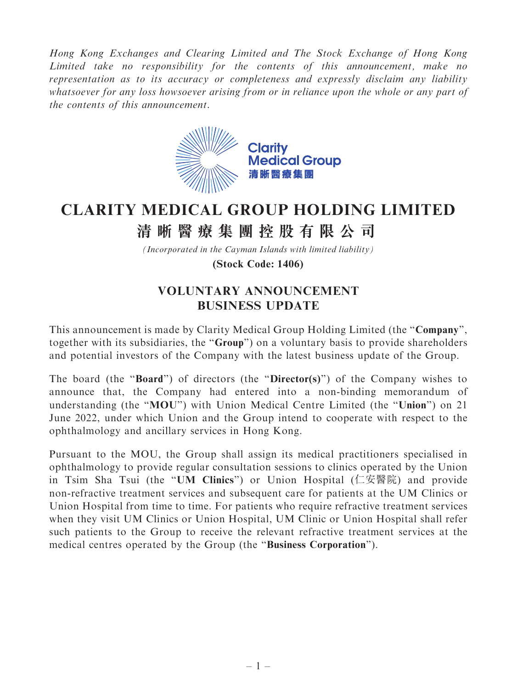Hong Kong Exchanges and Clearing Limited and The Stock Exchange of Hong Kong Limited take no responsibility for the contents of this announcement, make no representation as to its accuracy or completeness and expressly disclaim any liability whatsoever for any loss howsoever arising from or in reliance upon the whole or any part of the contents of this announcement.



## **CLARITY MEDICAL GROUP HOLDING LIMITED**

## **清晰醫療集團控股有限公司**

*(Incorporated in the Cayman Islands with limited liability)*

**(Stock Code: 1406)**

## VOLUNTARY ANNOUNCEMENT BUSINESS UPDATE

This announcement is made by Clarity Medical Group Holding Limited (the "Company", together with its subsidiaries, the ''Group'') on a voluntary basis to provide shareholders and potential investors of the Company with the latest business update of the Group.

The board (the "**Board**") of directors (the "**Director(s)**") of the Company wishes to announce that, the Company had entered into a non-binding memorandum of understanding (the "MOU") with Union Medical Centre Limited (the "Union") on 21 June 2022, under which Union and the Group intend to cooperate with respect to the ophthalmology and ancillary services in Hong Kong.

Pursuant to the MOU, the Group shall assign its medical practitioners specialised in ophthalmology to provide regular consultation sessions to clinics operated by the Union in Tsim Sha Tsui (the ''UM Clinics'') or Union Hospital (仁安醫院) and provide non-refractive treatment services and subsequent care for patients at the UM Clinics or Union Hospital from time to time. For patients who require refractive treatment services when they visit UM Clinics or Union Hospital, UM Clinic or Union Hospital shall refer such patients to the Group to receive the relevant refractive treatment services at the medical centres operated by the Group (the ''Business Corporation'').